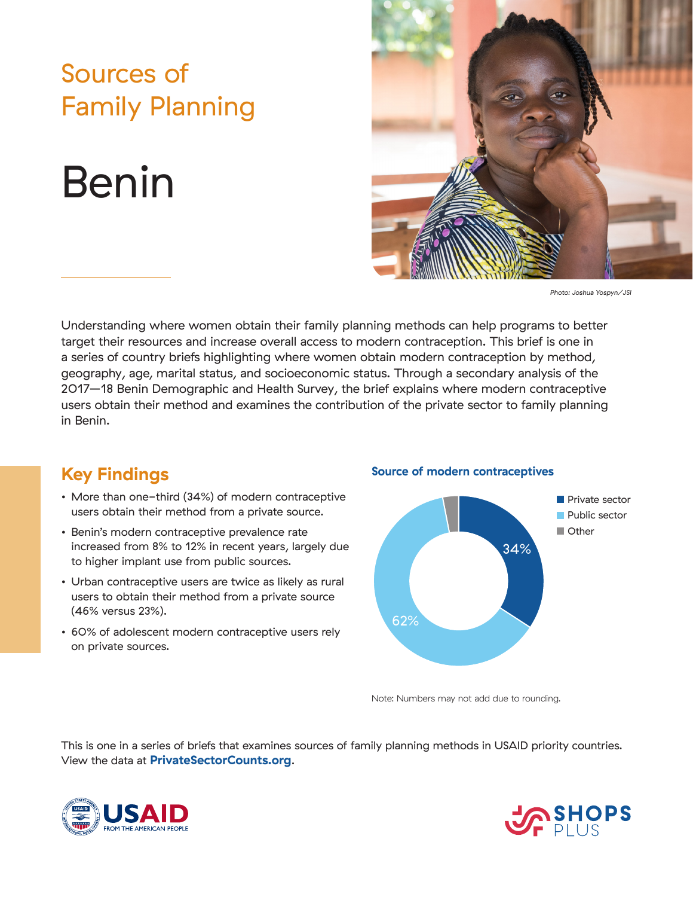### Sources of Family Planning

# Benin



*Photo: Joshua Yospyn/JSI*

Understanding where women obtain their family planning methods can help programs to better target their resources and increase overall access to modern contraception. This brief is one in a series of country briefs highlighting where women obtain modern contraception by method, geography, age, marital status, and socioeconomic status. Through a secondary analysis of the 2017–18 Benin Demographic and Health Survey, the brief explains where modern contraceptive users obtain their method and examines the contribution of the private sector to family planning in Benin.

### **Key Findings**

- More than one-third (34%) of modern contraceptive users obtain their method from a private source.
- Benin's modern contraceptive prevalence rate increased from 8% to 12% in recent years, largely due to higher implant use from public sources.
- Urban contraceptive users are twice as likely as rural users to obtain their method from a private source (46% versus 23%).
- 60% of adolescent modern contraceptive users rely on private sources.

#### **Source of modern contraceptives**



Note: Numbers may not add due to rounding.

This is one in a series of briefs that examines sources of family planning methods in USAID priority countries. View the data at **PrivateSectorCounts.org**.



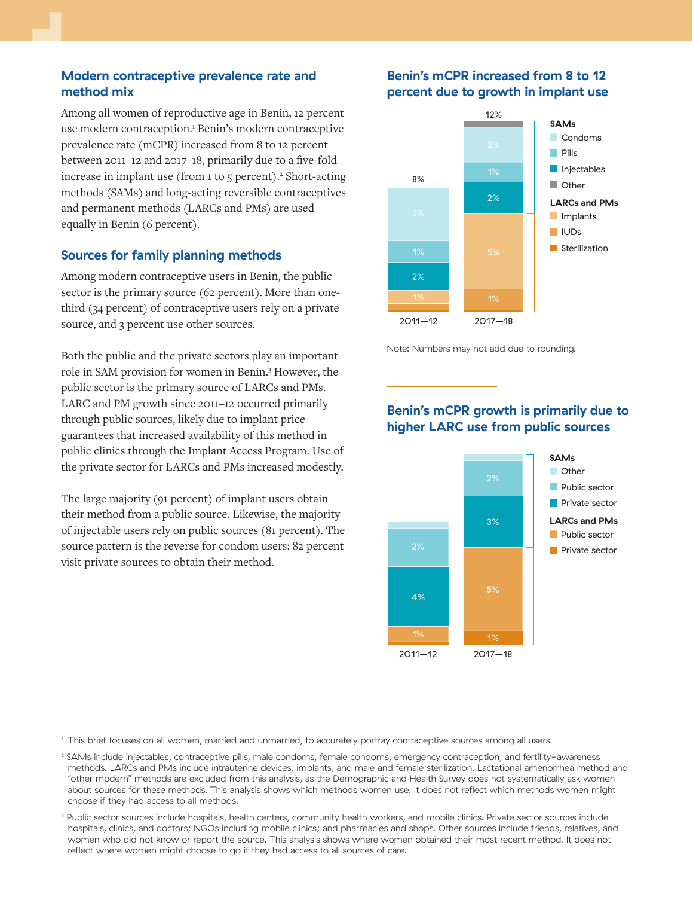#### **Modern contraceptive prevalence rate and method mix**

Among all women of reproductive age in Benin, 12 percent use modern contraception.<sup>1</sup> Benin's modern contraceptive prevalence rate (mCPR) increased from 8 to 12 percent between 2011–12 and 2017–18, primarily due to a five-fold increase in implant use (from 1 to 5 percent).<sup>2</sup> Short-acting methods (SAMs) and long-acting reversible contraceptives and permanent methods (LARCs and PMs) are used equally in Benin (6 percent).

#### **Sources for family planning methods**

Among modern contraceptive users in Benin, the public sector is the primary source (62 percent). More than onethird (34 percent) of contraceptive users rely on a private source, and 3 percent use other sources.

Both the public and the private sectors play an important role in SAM provision for women in Benin.3 However, the public sector is the primary source of LARCs and PMs. LARC and PM growth since 2011–12 occurred primarily through public sources, likely due to implant price guarantees that increased availability of this method in public clinics through the Implant Access Program. Use of the private sector for LARCs and PMs increased modestly.

The large majority (91 percent) of implant users obtain their method from a public source. Likewise, the majority of injectable users rely on public sources (81 percent). The source pattern is the reverse for condom users: 82 percent visit private sources to obtain their method.

#### **Benin's mCPR increased from 8 to 12 percent due to growth in implant use**



Note: Numbers may not add due to rounding.

#### **Benin's mCPR growth is primarily due to higher LARC use from public sources**



<sup>1</sup> This brief focuses on all women, married and unmarried, to accurately portray contraceptive sources among all users.

- 2 SAMs include injectables, contraceptive pills, male condoms, female condoms, emergency contraception, and fertility-awareness methods. LARCs and PMs include intrauterine devices, implants, and male and female sterilization. Lactational amenorrhea method and "other modern" methods are excluded from this analysis, as the Demographic and Health Survey does not systematically ask women about sources for these methods. This analysis shows which methods women use. It does not reflect which methods women might choose if they had access to all methods.
- <sup>3</sup> Public sector sources include hospitals, health centers, community health workers, and mobile clinics. Private sector sources include hospitals, clinics, and doctors; NGOs including mobile clinics; and pharmacies and shops. Other sources include friends, relatives, and women who did not know or report the source. This analysis shows where women obtained their most recent method. It does not reflect where women might choose to go if they had access to all sources of care.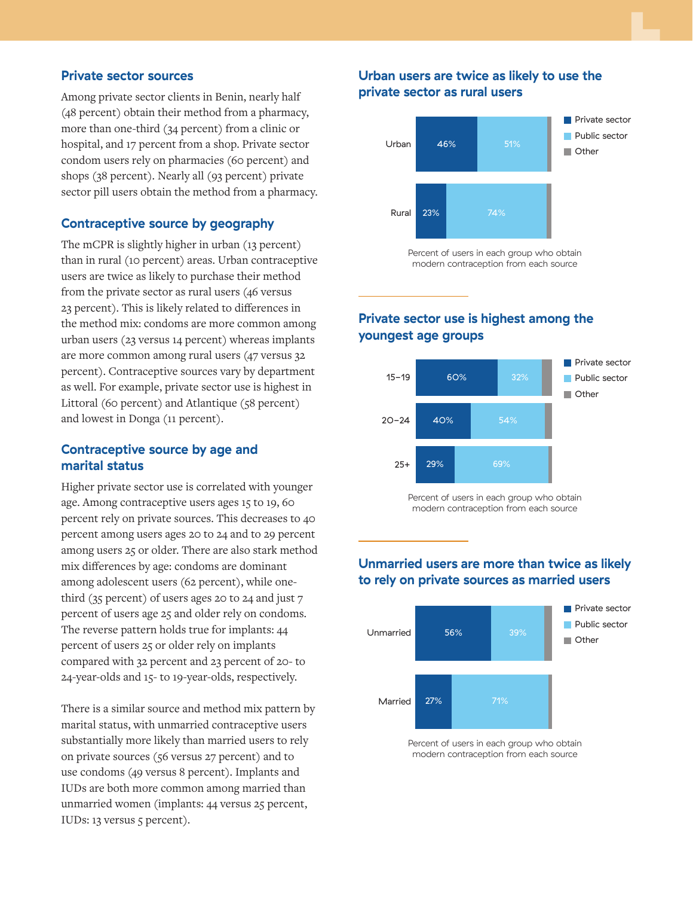#### **Private sector sources**

Among private sector clients in Benin, nearly half (48 percent) obtain their method from a pharmacy, more than one-third (34 percent) from a clinic or hospital, and 17 percent from a shop. Private sector condom users rely on pharmacies (60 percent) and shops (38 percent). Nearly all (93 percent) private sector pill users obtain the method from a pharmacy.

#### **Contraceptive source by geography**

The mCPR is slightly higher in urban (13 percent) than in rural (10 percent) areas. Urban contraceptive users are twice as likely to purchase their method from the private sector as rural users (46 versus 23 percent). This is likely related to differences in the method mix: condoms are more common among urban users (23 versus 14 percent) whereas implants are more common among rural users (47 versus 32 percent). Contraceptive sources vary by department as well. For example, private sector use is highest in Littoral (60 percent) and Atlantique (58 percent) and lowest in Donga (11 percent).

#### **Contraceptive source by age and marital status**

Higher private sector use is correlated with younger age. Among contraceptive users ages 15 to 19, 60 percent rely on private sources. This decreases to 40 percent among users ages 20 to 24 and to 29 percent among users 25 or older. There are also stark method mix differences by age: condoms are dominant among adolescent users (62 percent), while onethird (35 percent) of users ages 20 to 24 and just 7 percent of users age 25 and older rely on condoms. The reverse pattern holds true for implants: 44 percent of users 25 or older rely on implants compared with 32 percent and 23 percent of 20- to 24-year-olds and 15- to 19-year-olds, respectively.

There is a similar source and method mix pattern by marital status, with unmarried contraceptive users substantially more likely than married users to rely on private sources (56 versus 27 percent) and to use condoms (49 versus 8 percent). Implants and IUDs are both more common among married than unmarried women (implants: 44 versus 25 percent, IUDs: 13 versus 5 percent).

#### **Urban users are twice as likely to use the private sector as rural users**



Percent of users in each group who obtain modern contraception from each source

#### **Private sector use is highest among the youngest age groups**



Percent of users in each group who obtain modern contraception from each source

#### **Unmarried users are more than twice as likely to rely on private sources as married users**



Percent of users in each group who obtain modern contraception from each source